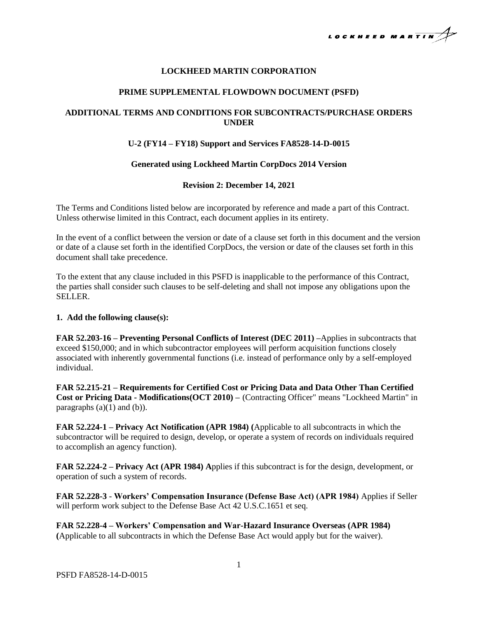

# **LOCKHEED MARTIN CORPORATION**

## **PRIME SUPPLEMENTAL FLOWDOWN DOCUMENT (PSFD)**

# **ADDITIONAL TERMS AND CONDITIONS FOR SUBCONTRACTS/PURCHASE ORDERS UNDER**

## **U-2 (FY14 – FY18) Support and Services FA8528-14-D-0015**

### **Generated using Lockheed Martin CorpDocs 2014 Version**

### **Revision 2: December 14, 2021**

The Terms and Conditions listed below are incorporated by reference and made a part of this Contract. Unless otherwise limited in this Contract, each document applies in its entirety.

In the event of a conflict between the version or date of a clause set forth in this document and the version or date of a clause set forth in the identified CorpDocs, the version or date of the clauses set forth in this document shall take precedence.

To the extent that any clause included in this PSFD is inapplicable to the performance of this Contract, the parties shall consider such clauses to be self-deleting and shall not impose any obligations upon the SELLER.

#### **1. Add the following clause(s):**

**FAR 52.203-16 – Preventing Personal Conflicts of Interest (DEC 2011) –**Applies in subcontracts that exceed \$150,000; and in which subcontractor employees will perform acquisition functions closely associated with inherently governmental functions (i.e. instead of performance only by a self-employed individual.

**FAR 52.215-21 – Requirements for Certified Cost or Pricing Data and Data Other Than Certified Cost or Pricing Data - Modifications(OCT 2010) –** (Contracting Officer" means "Lockheed Martin" in paragraphs  $(a)(1)$  and  $(b)$ ).

**FAR 52.224-1 – Privacy Act Notification (APR 1984) (**Applicable to all subcontracts in which the subcontractor will be required to design, develop, or operate a system of records on individuals required to accomplish an agency function).

**FAR 52.224-2 – Privacy Act (APR 1984) A**pplies if this subcontract is for the design, development, or operation of such a system of records.

**FAR 52.228-3** - **Workers' Compensation Insurance (Defense Base Act) (APR 1984)** Applies if Seller will perform work subject to the Defense Base Act 42 U.S.C.1651 et seq.

**FAR 52.228-4 – Workers' Compensation and War-Hazard Insurance Overseas (APR 1984) (**Applicable to all subcontracts in which the Defense Base Act would apply but for the waiver).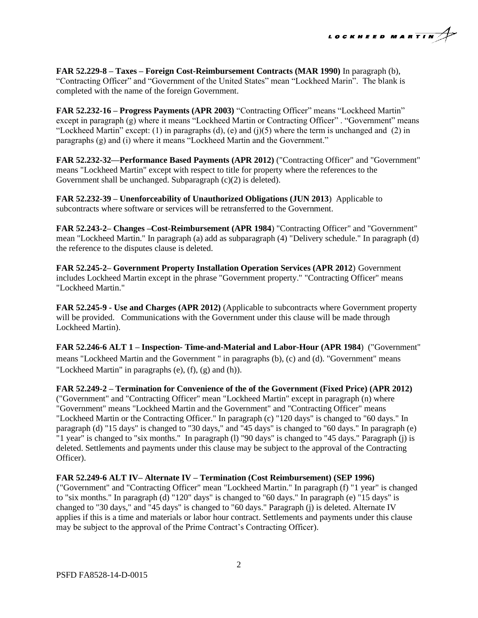

**FAR 52.229-8 – Taxes – Foreign Cost-Reimbursement Contracts (MAR 1990)** In paragraph (b), "Contracting Officer" and "Government of the United States" mean "Lockheed Marin". The blank is completed with the name of the foreign Government.

**FAR 52.232-16 – Progress Payments (APR 2003)** "Contracting Officer" means "Lockheed Martin" except in paragraph (g) where it means "Lockheed Martin or Contracting Officer" . "Government" means "Lockheed Martin" except: (1) in paragraphs (d), (e) and (j)(5) where the term is unchanged and (2) in paragraphs (g) and (i) where it means "Lockheed Martin and the Government."

**FAR 52.232-32—Performance Based Payments (APR 2012)** ("Contracting Officer" and "Government" means "Lockheed Martin" except with respect to title for property where the references to the Government shall be unchanged. Subparagraph  $(c)(2)$  is deleted).

**FAR 52.232-39 – Unenforceability of Unauthorized Obligations (JUN 2013**) Applicable to subcontracts where software or services will be retransferred to the Government.

**FAR 52.243-2– Changes –Cost-Reimbursement (APR 1984**) "Contracting Officer" and "Government" mean "Lockheed Martin." In paragraph (a) add as subparagraph (4) "Delivery schedule." In paragraph (d) the reference to the disputes clause is deleted.

**FAR 52.245-2– Government Property Installation Operation Services (APR 2012**) Government includes Lockheed Martin except in the phrase "Government property." "Contracting Officer" means "Lockheed Martin."

**FAR 52.245-9 - Use and Charges (APR 2012)** (Applicable to subcontracts where Government property will be provided. Communications with the Government under this clause will be made through Lockheed Martin).

**FAR 52.246-6 ALT 1 – Inspection- Time-and-Material and Labor-Hour (APR 1984**) ("Government" means "Lockheed Martin and the Government " in paragraphs (b), (c) and (d). "Government" means "Lockheed Martin" in paragraphs (e), (f), (g) and (h)).

**FAR 52.249-2 – Termination for Convenience of the of the Government (Fixed Price) (APR 2012)** ("Government" and "Contracting Officer" mean "Lockheed Martin" except in paragraph (n) where "Government" means "Lockheed Martin and the Government" and "Contracting Officer" means "Lockheed Martin or the Contracting Officer." In paragraph (c) "120 days" is changed to "60 days." In paragraph (d) "15 days" is changed to "30 days," and "45 days" is changed to "60 days." In paragraph (e) "1 year" is changed to "six months." In paragraph (l) "90 days" is changed to "45 days." Paragraph (j) is deleted. Settlements and payments under this clause may be subject to the approval of the Contracting Officer).

#### **FAR 52.249-6 ALT IV– Alternate IV – Termination (Cost Reimbursement) (SEP 1996)**

("Government" and "Contracting Officer" mean "Lockheed Martin." In paragraph (f) "1 year" is changed to "six months." In paragraph (d) "120" days" is changed to "60 days." In paragraph (e) "15 days" is changed to "30 days," and "45 days" is changed to "60 days." Paragraph (j) is deleted. Alternate IV applies if this is a time and materials or labor hour contract. Settlements and payments under this clause may be subject to the approval of the Prime Contract's Contracting Officer).